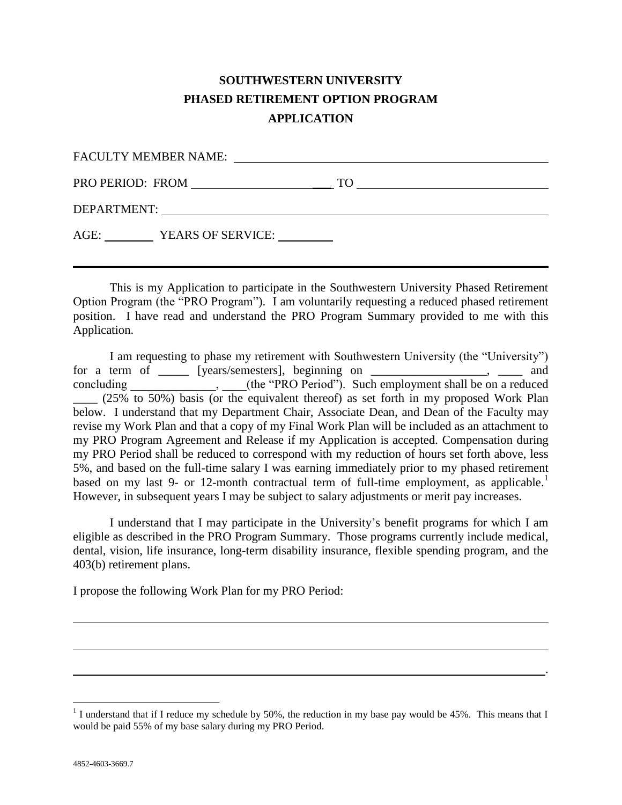## **SOUTHWESTERN UNIVERSITY PHASED RETIREMENT OPTION PROGRAM APPLICATION**

| PRO PERIOD: FROM PRO PERIOD:                                                                                                                                                                                                  |                        | TO<br><u> 1989 - Johann Stein, fransk politiker (d. 1989)</u> |  |
|-------------------------------------------------------------------------------------------------------------------------------------------------------------------------------------------------------------------------------|------------------------|---------------------------------------------------------------|--|
| DEPARTMENT: University of the contract of the contract of the contract of the contract of the contract of the contract of the contract of the contract of the contract of the contract of the contract of the contract of the |                        |                                                               |  |
|                                                                                                                                                                                                                               | AGE: YEARS OF SERVICE: |                                                               |  |
|                                                                                                                                                                                                                               |                        |                                                               |  |

This is my Application to participate in the Southwestern University Phased Retirement Option Program (the "PRO Program"). I am voluntarily requesting a reduced phased retirement position. I have read and understand the PRO Program Summary provided to me with this Application.

I am requesting to phase my retirement with Southwestern University (the "University") for a term of \_\_\_\_\_ [years/semesters], beginning on \_\_\_\_\_\_\_\_\_\_\_\_\_\_\_\_\_\_\_, \_\_\_\_ and concluding \_\_\_\_\_\_\_\_\_\_\_\_\_\_\_, \_\_\_\_(the "PRO Period"). Such employment shall be on a reduced  $(25\%$  to 50%) basis (or the equivalent thereof) as set forth in my proposed Work Plan below. I understand that my Department Chair, Associate Dean, and Dean of the Faculty may revise my Work Plan and that a copy of my Final Work Plan will be included as an attachment to my PRO Program Agreement and Release if my Application is accepted. Compensation during my PRO Period shall be reduced to correspond with my reduction of hours set forth above, less 5%, and based on the full-time salary I was earning immediately prior to my phased retirement based on my last 9- or 12-month contractual term of full-time employment, as applicable.<sup>1</sup> However, in subsequent years I may be subject to salary adjustments or merit pay increases.

I understand that I may participate in the University's benefit programs for which I am eligible as described in the PRO Program Summary. Those programs currently include medical, dental, vision, life insurance, long-term disability insurance, flexible spending program, and the 403(b) retirement plans.

I propose the following Work Plan for my PRO Period:

.

<sup>&</sup>lt;sup>1</sup> I understand that if I reduce my schedule by 50%, the reduction in my base pay would be 45%. This means that I would be paid 55% of my base salary during my PRO Period.